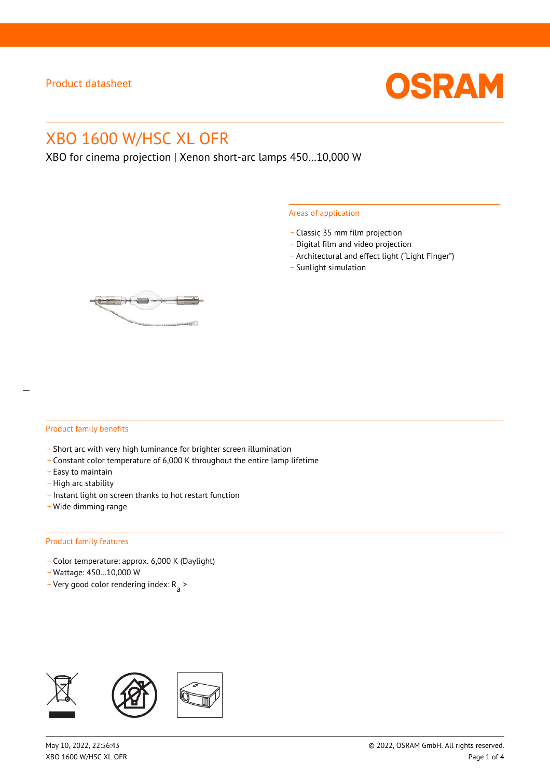

# XBO 1600 W/HSC XL OFR

XBO for cinema projection | Xenon short-arc lamps 450…10,000 W

#### Areas of application

- \_ Classic 35 mm film projection
- \_ Digital film and video projection
- \_ Architectural and effect light ("Light Finger")
- Sunlight simulation



#### Product family benefits

- \_ Short arc with very high luminance for brighter screen illumination
- \_ Constant color temperature of 6,000 K throughout the entire lamp lifetime
- \_ Easy to maintain
- High arc stability
- \_ Instant light on screen thanks to hot restart function
- \_ Wide dimming range

#### Product family features

- \_ Color temperature: approx. 6,000 K (Daylight)
- \_ Wattage: 450…10,000 W
- Very good color rendering index:  $R_{\text{a}}$  >

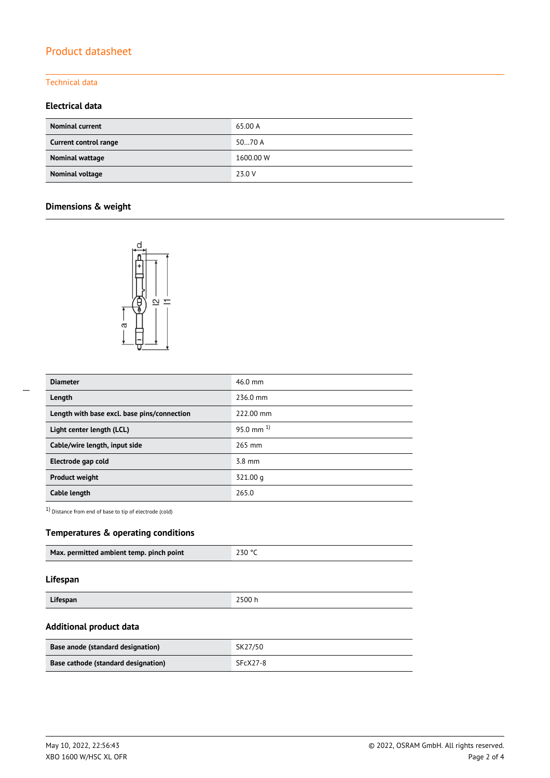# Product datasheet

## Technical data

## **Electrical data**

| <b>Nominal current</b> | 65.00 A   |
|------------------------|-----------|
| Current control range  | 5070A     |
| Nominal wattage        | 1600.00 W |
| Nominal voltage        | 23.0 V    |

## **Dimensions & weight**



| <b>Diameter</b>                             | $46.0$ mm        |
|---------------------------------------------|------------------|
| Length                                      | 236.0 mm         |
| Length with base excl. base pins/connection | 222.00 mm        |
| Light center length (LCL)                   | 95.0 mm $^{1}$   |
| Cable/wire length, input side               | 265 mm           |
| Electrode gap cold                          | $3.8 \text{ mm}$ |
| <b>Product weight</b>                       | 321.00 g         |
| Cable length                                | 265.0            |

1) Distance from end of base to tip of electrode (cold)

## **Temperatures & operating conditions**

| Max. permitted ambient temp. pinch point | 230 °C |  |  |
|------------------------------------------|--------|--|--|
|                                          |        |  |  |

### **Lifespan**

| Lifespan | 2500 h |
|----------|--------|
|          |        |

## **Additional product data**

| Base anode (standard designation)   | SK27/50  |
|-------------------------------------|----------|
| Base cathode (standard designation) | SFcX27-8 |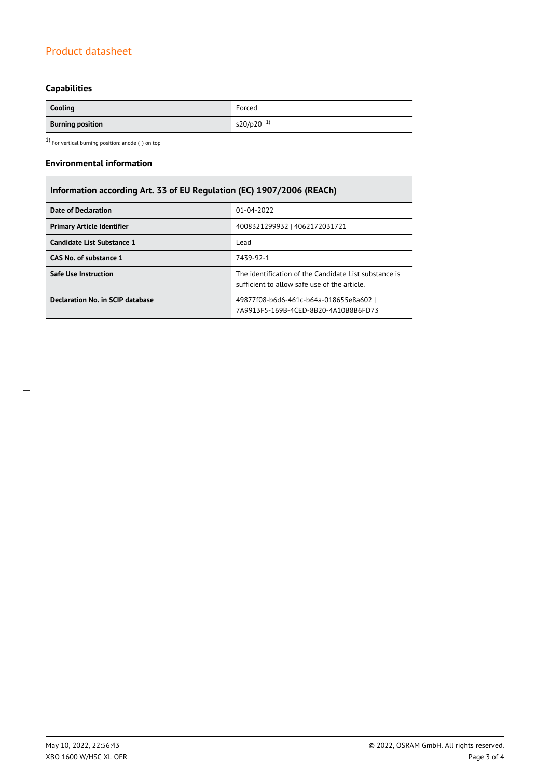# Product datasheet

# **Capabilities**

| Cooling                 | Forced                |
|-------------------------|-----------------------|
| <b>Burning position</b> | s20/p20 <sup>1)</sup> |

 $1)$  For vertical burning position: anode (+) on top

#### **Environmental information**

# **Information according Art. 33 of EU Regulation (EC) 1907/2006 (REACh)**

| Date of Declaration               | 01-04-2022                                                                                            |  |
|-----------------------------------|-------------------------------------------------------------------------------------------------------|--|
| <b>Primary Article Identifier</b> | 4008321299932   4062172031721                                                                         |  |
| Candidate List Substance 1        | Lead                                                                                                  |  |
| CAS No. of substance 1            | 7439-92-1                                                                                             |  |
| Safe Use Instruction              | The identification of the Candidate List substance is<br>sufficient to allow safe use of the article. |  |
| Declaration No. in SCIP database  | 49877f08-b6d6-461c-b64a-018655e8a602  <br>7A9913F5-169B-4CFD-8B20-4A10B8B6FD73                        |  |